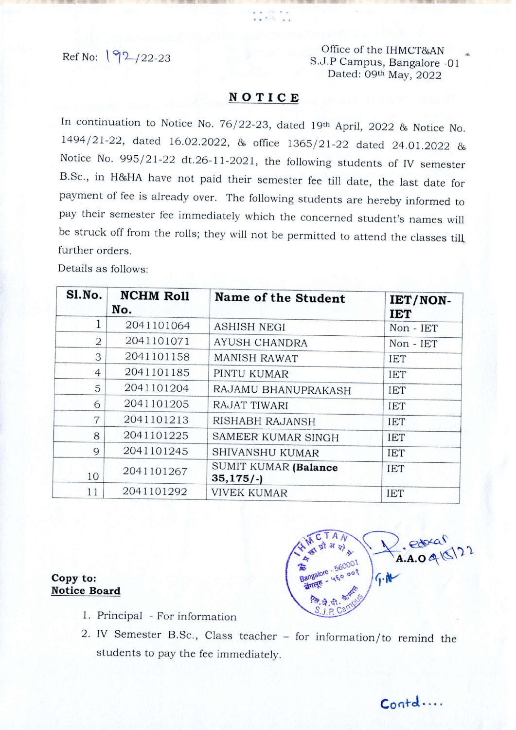Ref No:  $\sqrt{92}/22-23$  Office of the IHMCT&AN S.J.P Campus, Bangalore -01 Dated: 09th May, 2022

## NOTICE

In continuation to Notice No. 76/22-23, dated 19th April, 2022 & Notice No. 1494121-22, dated 16.02.2022, & office 1365/2t-22 dated 24.01.2022 & Notice No. 995/21-22 dt.26-11-2021, the following students of IV semester B.Sc., in H&HA have not paid their semester fee till date, the last date for payment of fee is already over. The following students are hereby informed to pay their semester fee immediately which the concerned student's names will be struck off from the rolls; they will not be permitted to attend the classes till further orders.

Details as follows:

| Sl.No.         | <b>NCHM Roll</b><br>No. | Name of the Student                | IET/NON-<br><b>IET</b> |
|----------------|-------------------------|------------------------------------|------------------------|
|                | 2041101064              | <b>ASHISH NEGI</b>                 | Non - IET              |
| 2              | 2041101071              | AYUSH CHANDRA                      | $Non$ - $IET$          |
| 3              | 2041101158              | <b>MANISH RAWAT</b>                | <b>IET</b>             |
| $\overline{4}$ | 2041101185              | PINTU KUMAR                        | <b>IET</b>             |
| 5              | 2041101204              | RAJAMU BHANUPRAKASH                | <b>IET</b>             |
| 6              | 2041101205              | RAJAT TIWARI                       | <b>IET</b>             |
| 7              | 2041101213              | RISHABH RAJANSH                    | <b>IET</b>             |
| 8              | 2041101225              | SAMEER KUMAR SINGH                 | <b>IET</b>             |
| 9              | 2041101245              | <b>SHIVANSHU KUMAR</b>             | <b>IET</b>             |
| 10             | 2041101267              | SUMIT KUMAR (Balance<br>$35,175/-$ | <b>IET</b>             |
| 11             | 2041101292              | <b>VIVEK KUMAR</b>                 | <b>IET</b>             |

 $\frac{e^{204a}}{A.A.096}$ प्रौ अ एके. **Replace 560001**<br>Bangalore - 560001  $G.M$ 

TAN

## Copy to: Notice Board

- 1. Principal For information
- 2. IV Semester B.Sc., Class teacher for inlormation/to remind the students to pay the fee immediately.

 $\mathsf{C}$  ontd  $\cdots$